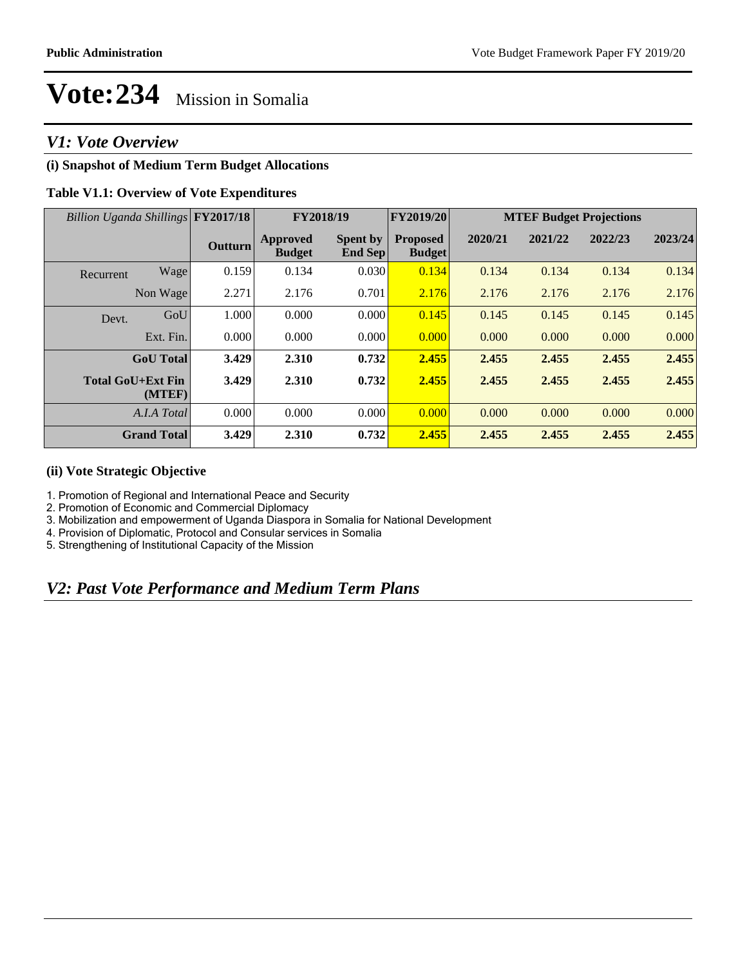## *V1: Vote Overview*

### **(i) Snapshot of Medium Term Budget Allocations**

### **Table V1.1: Overview of Vote Expenditures**

| Billion Uganda Shillings FY2017/18 |                    |                | FY2018/19                        |                                   | <b>FY2019/20</b>                 | <b>MTEF Budget Projections</b> |         |         |         |
|------------------------------------|--------------------|----------------|----------------------------------|-----------------------------------|----------------------------------|--------------------------------|---------|---------|---------|
|                                    |                    | <b>Outturn</b> | <b>Approved</b><br><b>Budget</b> | <b>Spent by</b><br><b>End Sep</b> | <b>Proposed</b><br><b>Budget</b> | 2020/21                        | 2021/22 | 2022/23 | 2023/24 |
| Recurrent                          | Wage               | 0.159          | 0.134                            | 0.030                             | 0.134                            | 0.134                          | 0.134   | 0.134   | 0.134   |
|                                    | Non Wage           | 2.271          | 2.176                            | 0.701                             | 2.176                            | 2.176                          | 2.176   | 2.176   | 2.176   |
| Devt.                              | GoU                | 1.000          | 0.000                            | 0.000                             | 0.145                            | 0.145                          | 0.145   | 0.145   | 0.145   |
|                                    | Ext. Fin.          | 0.000          | 0.000                            | 0.000                             | 0.000                            | 0.000                          | 0.000   | 0.000   | 0.000   |
|                                    | <b>GoU</b> Total   | 3.429          | 2.310                            | 0.732                             | 2.455                            | 2.455                          | 2.455   | 2.455   | 2.455   |
| <b>Total GoU+Ext Fin</b>           | (MTEF)             | 3.429          | 2.310                            | 0.732                             | 2.455                            | 2.455                          | 2.455   | 2.455   | 2.455   |
|                                    | A.I.A Total        | 0.000          | 0.000                            | 0.000                             | 0.000                            | 0.000                          | 0.000   | 0.000   | 0.000   |
|                                    | <b>Grand Total</b> | 3.429          | 2.310                            | 0.732                             | 2.455                            | 2.455                          | 2.455   | 2.455   | 2.455   |

#### **(ii) Vote Strategic Objective**

1. Promotion of Regional and International Peace and Security

2. Promotion of Economic and Commercial Diplomacy

3. Mobilization and empowerment of Uganda Diaspora in Somalia for National Development

4. Provision of Diplomatic, Protocol and Consular services in Somalia

5. Strengthening of Institutional Capacity of the Mission

# *V2: Past Vote Performance and Medium Term Plans*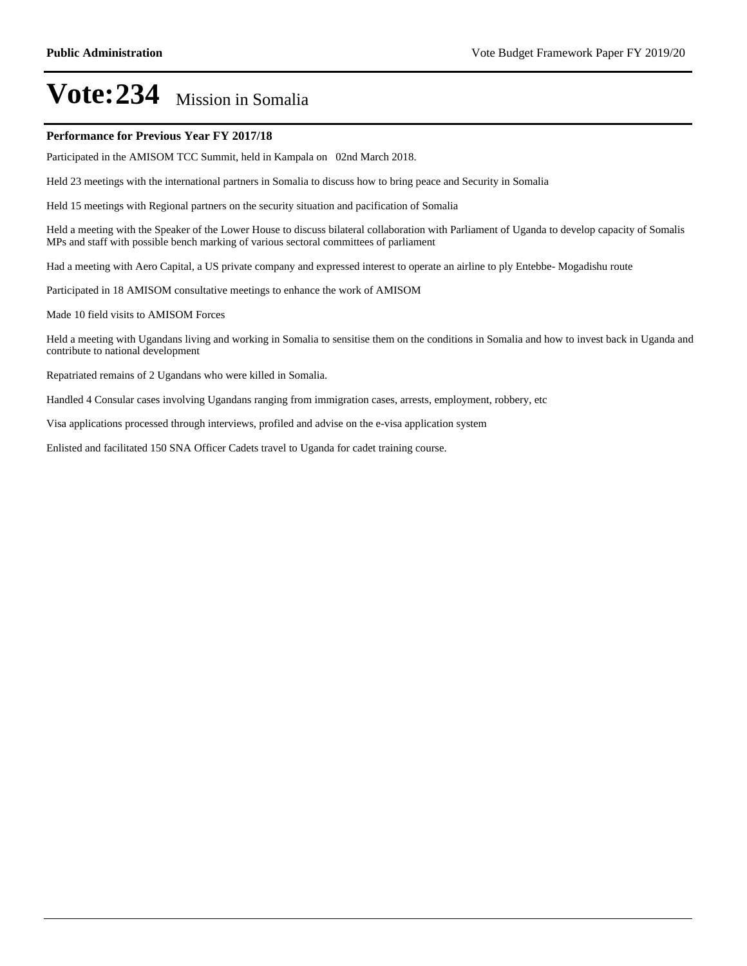#### **Performance for Previous Year FY 2017/18**

Participated in the AMISOM TCC Summit, held in Kampala on 02nd March 2018.

Held 23 meetings with the international partners in Somalia to discuss how to bring peace and Security in Somalia

Held 15 meetings with Regional partners on the security situation and pacification of Somalia

Held a meeting with the Speaker of the Lower House to discuss bilateral collaboration with Parliament of Uganda to develop capacity of Somalis MPs and staff with possible bench marking of various sectoral committees of parliament

Had a meeting with Aero Capital, a US private company and expressed interest to operate an airline to ply Entebbe- Mogadishu route

Participated in 18 AMISOM consultative meetings to enhance the work of AMISOM

Made 10 field visits to AMISOM Forces

Held a meeting with Ugandans living and working in Somalia to sensitise them on the conditions in Somalia and how to invest back in Uganda and contribute to national development

Repatriated remains of 2 Ugandans who were killed in Somalia.

Handled 4 Consular cases involving Ugandans ranging from immigration cases, arrests, employment, robbery, etc

Visa applications processed through interviews, profiled and advise on the e-visa application system

Enlisted and facilitated 150 SNA Officer Cadets travel to Uganda for cadet training course.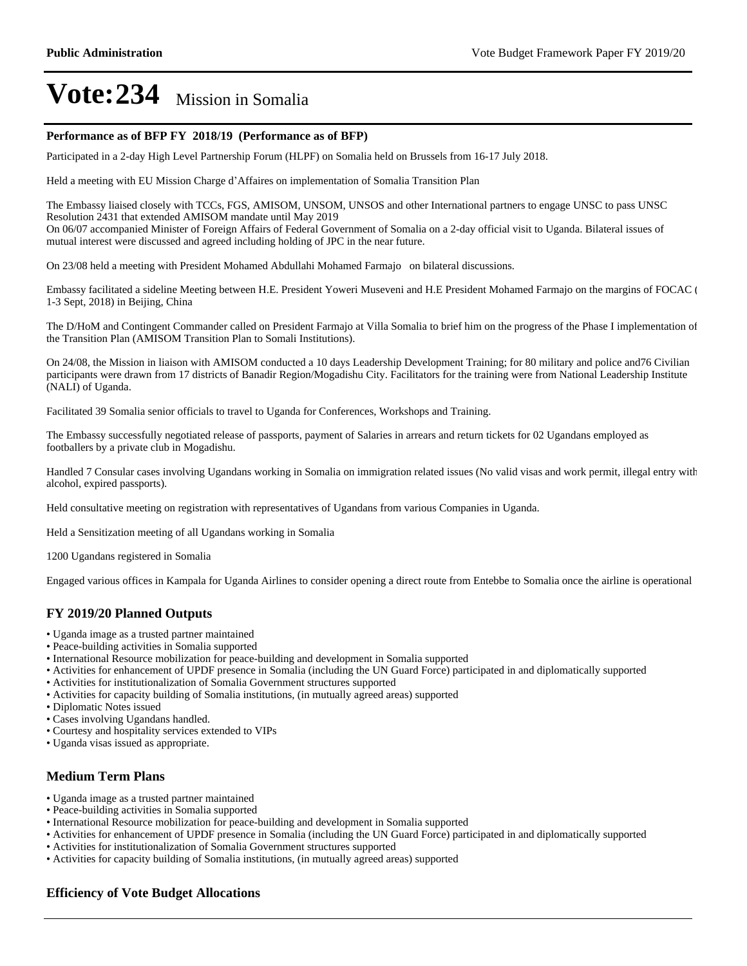#### **Performance as of BFP FY 2018/19 (Performance as of BFP)**

Participated in a 2-day High Level Partnership Forum (HLPF) on Somalia held on Brussels from 16-17 July 2018.

Held a meeting with EU Mission Charge d'Affaires on implementation of Somalia Transition Plan

The Embassy liaised closely with TCCs, FGS, AMISOM, UNSOM, UNSOS and other International partners to engage UNSC to pass UNSC Resolution 2431 that extended AMISOM mandate until May 2019

On 06/07 accompanied Minister of Foreign Affairs of Federal Government of Somalia on a 2-day official visit to Uganda. Bilateral issues of mutual interest were discussed and agreed including holding of JPC in the near future.

On 23/08 held a meeting with President Mohamed Abdullahi Mohamed Farmajo on bilateral discussions.

Embassy facilitated a sideline Meeting between H.E. President Yoweri Museveni and H.E President Mohamed Farmajo on the margins of FOCAC ( 1-3 Sept, 2018) in Beijing, China

The D/HoM and Contingent Commander called on President Farmajo at Villa Somalia to brief him on the progress of the Phase I implementation of the Transition Plan (AMISOM Transition Plan to Somali Institutions).

On 24/08, the Mission in liaison with AMISOM conducted a 10 days Leadership Development Training; for 80 military and police and76 Civilian participants were drawn from 17 districts of Banadir Region/Mogadishu City. Facilitators for the training were from National Leadership Institute (NALI) of Uganda.

Facilitated 39 Somalia senior officials to travel to Uganda for Conferences, Workshops and Training.

The Embassy successfully negotiated release of passports, payment of Salaries in arrears and return tickets for 02 Ugandans employed as footballers by a private club in Mogadishu.

Handled 7 Consular cases involving Ugandans working in Somalia on immigration related issues (No valid visas and work permit, illegal entry with alcohol, expired passports).

Held consultative meeting on registration with representatives of Ugandans from various Companies in Uganda.

Held a Sensitization meeting of all Ugandans working in Somalia

1200 Ugandans registered in Somalia

Engaged various offices in Kampala for Uganda Airlines to consider opening a direct route from Entebbe to Somalia once the airline is operational

#### **FY 2019/20 Planned Outputs**

- Uganda image as a trusted partner maintained
- Peace-building activities in Somalia supported
- International Resource mobilization for peace-building and development in Somalia supported
- Activities for enhancement of UPDF presence in Somalia (including the UN Guard Force) participated in and diplomatically supported
- Activities for institutionalization of Somalia Government structures supported
- Activities for capacity building of Somalia institutions, (in mutually agreed areas) supported
- Diplomatic Notes issued
- Cases involving Ugandans handled.
- Courtesy and hospitality services extended to VIPs
- Uganda visas issued as appropriate.

#### **Medium Term Plans**

- Uganda image as a trusted partner maintained
- Peace-building activities in Somalia supported
- International Resource mobilization for peace-building and development in Somalia supported
- Activities for enhancement of UPDF presence in Somalia (including the UN Guard Force) participated in and diplomatically supported
- Activities for institutionalization of Somalia Government structures supported
- Activities for capacity building of Somalia institutions, (in mutually agreed areas) supported

#### **Efficiency of Vote Budget Allocations**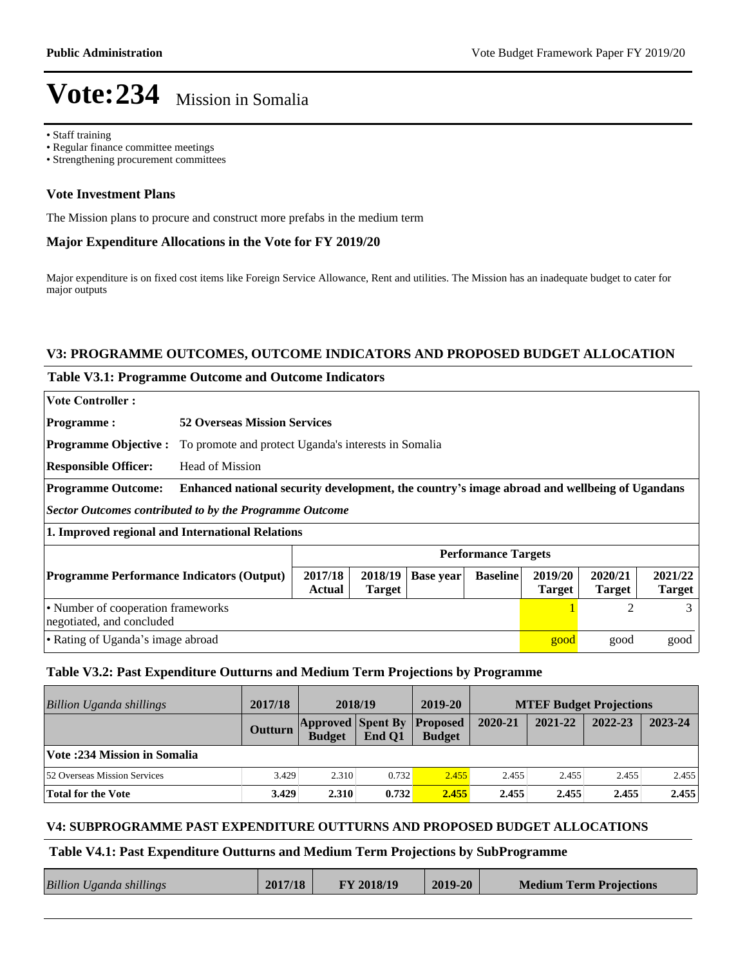Staff training

- Regular finance committee meetings
- Strengthening procurement committees

#### **Vote Investment Plans**

The Mission plans to procure and construct more prefabs in the medium term

#### **Major Expenditure Allocations in the Vote for FY 2019/20**

Major expenditure is on fixed cost items like Foreign Service Allowance, Rent and utilities. The Mission has an inadequate budget to cater for major outputs

#### **V3: PROGRAMME OUTCOMES, OUTCOME INDICATORS AND PROPOSED BUDGET ALLOCATION**

#### **Table V3.1: Programme Outcome and Outcome Indicators**

| <b>Vote Controller:</b>                                                                                                                                                                          |                                                                                              |                                                      |  |  |  |      |                          |      |  |
|--------------------------------------------------------------------------------------------------------------------------------------------------------------------------------------------------|----------------------------------------------------------------------------------------------|------------------------------------------------------|--|--|--|------|--------------------------|------|--|
| <b>Programme:</b>                                                                                                                                                                                | <b>52 Overseas Mission Services</b>                                                          |                                                      |  |  |  |      |                          |      |  |
| <b>Programme Objective:</b>                                                                                                                                                                      |                                                                                              | To promote and protect Uganda's interests in Somalia |  |  |  |      |                          |      |  |
| <b>Responsible Officer:</b>                                                                                                                                                                      | Head of Mission                                                                              |                                                      |  |  |  |      |                          |      |  |
| <b>Programme Outcome:</b>                                                                                                                                                                        | Enhanced national security development, the country's image abroad and wellbeing of Ugandans |                                                      |  |  |  |      |                          |      |  |
| Sector Outcomes contributed to by the Programme Outcome                                                                                                                                          |                                                                                              |                                                      |  |  |  |      |                          |      |  |
| 1. Improved regional and International Relations                                                                                                                                                 |                                                                                              |                                                      |  |  |  |      |                          |      |  |
|                                                                                                                                                                                                  | <b>Performance Targets</b>                                                                   |                                                      |  |  |  |      |                          |      |  |
| 2020/21<br>2017/18<br>2018/19<br>2019/20<br><b>Baseline</b><br><b>Programme Performance Indicators (Output)</b><br><b>Base year</b><br>Actual<br><b>Target</b><br><b>Target</b><br><b>Target</b> |                                                                                              |                                                      |  |  |  |      | 2021/22<br><b>Target</b> |      |  |
| • Number of cooperation frameworks<br>2<br>3<br>negotiated, and concluded                                                                                                                        |                                                                                              |                                                      |  |  |  |      |                          |      |  |
| • Rating of Uganda's image abroad                                                                                                                                                                |                                                                                              |                                                      |  |  |  | good | good                     | good |  |

#### **Table V3.2: Past Expenditure Outturns and Medium Term Projections by Programme**

| Billion Uganda shillings            | 2017/18 | 2018/19                                   |        | 2019-20                          | <b>MTEF Budget Projections</b> |         |         |         |
|-------------------------------------|---------|-------------------------------------------|--------|----------------------------------|--------------------------------|---------|---------|---------|
|                                     | Outturn | <b>Approved Spent By</b><br><b>Budget</b> | End O1 | <b>Proposed</b><br><b>Budget</b> | 2020-21                        | 2021-22 | 2022-23 | 2023-24 |
| Vote :234 Mission in Somalia        |         |                                           |        |                                  |                                |         |         |         |
| <b>52 Overseas Mission Services</b> | 3.429   | 2.310                                     | 0.732  | 2.455                            | 2.455                          | 2.455   | 2.455   | 2.455   |
| Total for the Vote                  | 3.429   | 2.310                                     | 0.732  | 2.455                            | 2.455                          | 2.455   | 2.455   | 2.455   |

#### **V4: SUBPROGRAMME PAST EXPENDITURE OUTTURNS AND PROPOSED BUDGET ALLOCATIONS**

#### **Table V4.1: Past Expenditure Outturns and Medium Term Projections by SubProgramme**

| <b>Billion Uganda shillings</b> | 2017/18 | FY 2018/19 | $2019 - 20$ | <b>Medium Term Projections</b> |
|---------------------------------|---------|------------|-------------|--------------------------------|
|                                 |         |            |             |                                |